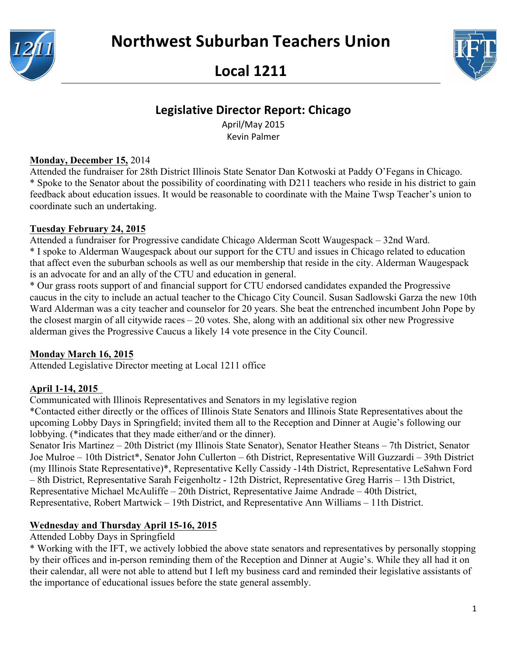





# **Legislative Director Report: Chicago**

April/May 2015 Kevin Palmer

#### **Monday, December 15,** 2014

Attended the fundraiser for 28th District Illinois State Senator Dan Kotwoski at Paddy O'Fegans in Chicago. \* Spoke to the Senator about the possibility of coordinating with D211 teachers who reside in his district to gain feedback about education issues. It would be reasonable to coordinate with the Maine Twsp Teacher's union to coordinate such an undertaking.

#### **Tuesday February 24, 2015**

Attended a fundraiser for Progressive candidate Chicago Alderman Scott Waugespack – 32nd Ward. \* I spoke to Alderman Waugespack about our support for the CTU and issues in Chicago related to education that affect even the suburban schools as well as our membership that reside in the city. Alderman Waugespack is an advocate for and an ally of the CTU and education in general.

\* Our grass roots support of and financial support for CTU endorsed candidates expanded the Progressive caucus in the city to include an actual teacher to the Chicago City Council. Susan Sadlowski Garza the new 10th Ward Alderman was a city teacher and counselor for 20 years. She beat the entrenched incumbent John Pope by the closest margin of all citywide races – 20 votes. She, along with an additional six other new Progressive alderman gives the Progressive Caucus a likely 14 vote presence in the City Council.

### **Monday March 16, 2015**

Attended Legislative Director meeting at Local 1211 office

### **April 1-14, 2015**

Communicated with Illinois Representatives and Senators in my legislative region

\*Contacted either directly or the offices of Illinois State Senators and Illinois State Representatives about the upcoming Lobby Days in Springfield; invited them all to the Reception and Dinner at Augie's following our lobbying. (\*indicates that they made either/and or the dinner).

Senator Iris Martinez – 20th District (my Illinois State Senator), Senator Heather Steans – 7th District, Senator Joe Mulroe – 10th District\*, Senator John Cullerton – 6th District, Representative Will Guzzardi – 39th District (my Illinois State Representative)\*, Representative Kelly Cassidy -14th District, Representative LeSahwn Ford – 8th District, Representative Sarah Feigenholtz - 12th District, Representative Greg Harris – 13th District, Representative Michael McAuliffe – 20th District, Representative Jaime Andrade – 40th District, Representative, Robert Martwick – 19th District, and Representative Ann Williams – 11th District.

## **Wednesday and Thursday April 15-16, 2015**

Attended Lobby Days in Springfield

\* Working with the IFT, we actively lobbied the above state senators and representatives by personally stopping by their offices and in-person reminding them of the Reception and Dinner at Augie's. While they all had it on their calendar, all were not able to attend but I left my business card and reminded their legislative assistants of the importance of educational issues before the state general assembly.